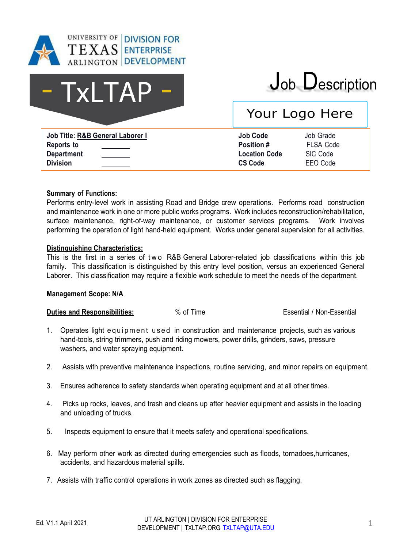

# - TxLTAP

## Job Description

### Your Logo Here

**Job Title: R&B General Laborer I Job Code** Job Grade **Reports to Department Division**

**Position #** FLSA Code **Location Code** SIC Code **CS Code** EEO Code

#### **Summary of Functions:**

Performs entry-level work in assisting Road and Bridge crew operations. Performs road construction and maintenance work in one or more public works programs. Work includes reconstruction/rehabilitation, surface maintenance, right-of-way maintenance, or customer services programs. Work involves performing the operation of light hand-held equipment. Works under general supervision for all activities.

#### **Distinguishing Characteristics:**

This is the first in a series of two R&B General Laborer-related job classifications within this job family. This classification is distinguished by this entry level position, versus an experienced General Laborer. This classification may require a flexible work schedule to meet the needs of the department.

#### **Management Scope: N/A**

**Duties and Responsibilities:**  $\%$  of Time  $\%$  Secrets Essential / Non-Essential / Non-Essential / Non-Essential /

- 1. Operates light equipment used in construction and maintenance projects, such as various hand-tools, string trimmers, push and riding mowers, power drills, grinders, saws, pressure washers, and water spraying equipment.
- 2. Assists with preventive maintenance inspections, routine servicing, and minor repairs on equipment.
- 3. Ensures adherence to safety standards when operating equipment and at all other times.
- 4. Picks up rocks, leaves, and trash and cleans up after heavier equipment and assists in the loading and unloading of trucks.
- 5. Inspects equipment to ensure that it meets safety and operational specifications.
- 6. May perform other work as directed during emergencies such as floods, tornadoes,hurricanes, accidents, and hazardous material spills.
- 7. Assists with traffic control operations in work zones as directed such as flagging.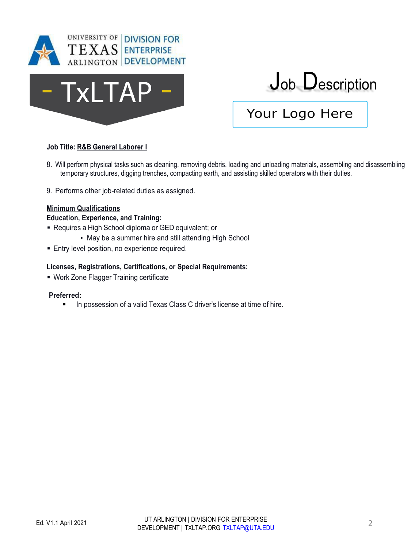



## Job Description

### Your Logo Here

#### **Job Title: R&B General Laborer I**

- 8. Will perform physical tasks such as cleaning, removing debris, loading and unloading materials, assembling and disassembling temporary structures, digging trenches, compacting earth, and assisting skilled operators with their duties.
- 9. Performs other job-related duties as assigned.

#### **Minimum Qualifications**

#### **Education, Experience, and Training:**

- Requires a High School diploma or GED equivalent; or
	- May be a summer hire and still attending High School
- **Entry level position, no experience required.**

#### **Licenses, Registrations, Certifications, or Special Requirements:**

**• Work Zone Flagger Training certificate** 

#### **Preferred:**

**EXECT** In possession of a valid Texas Class C driver's license at time of hire.